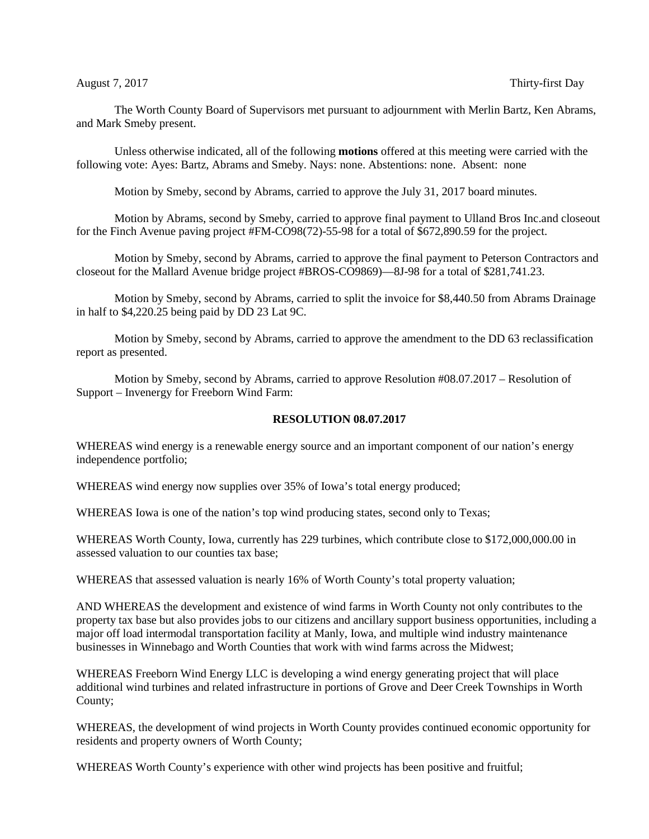The Worth County Board of Supervisors met pursuant to adjournment with Merlin Bartz, Ken Abrams, and Mark Smeby present.

Unless otherwise indicated, all of the following **motions** offered at this meeting were carried with the following vote: Ayes: Bartz, Abrams and Smeby. Nays: none. Abstentions: none. Absent: none

Motion by Smeby, second by Abrams, carried to approve the July 31, 2017 board minutes.

Motion by Abrams, second by Smeby, carried to approve final payment to Ulland Bros Inc.and closeout for the Finch Avenue paving project #FM-CO98(72)-55-98 for a total of \$672,890.59 for the project.

Motion by Smeby, second by Abrams, carried to approve the final payment to Peterson Contractors and closeout for the Mallard Avenue bridge project #BROS-CO9869)—8J-98 for a total of \$281,741.23.

Motion by Smeby, second by Abrams, carried to split the invoice for \$8,440.50 from Abrams Drainage in half to \$4,220.25 being paid by DD 23 Lat 9C.

Motion by Smeby, second by Abrams, carried to approve the amendment to the DD 63 reclassification report as presented.

Motion by Smeby, second by Abrams, carried to approve Resolution #08.07.2017 – Resolution of Support – Invenergy for Freeborn Wind Farm:

## **RESOLUTION 08.07.2017**

WHEREAS wind energy is a renewable energy source and an important component of our nation's energy independence portfolio;

WHEREAS wind energy now supplies over 35% of Iowa's total energy produced;

WHEREAS Iowa is one of the nation's top wind producing states, second only to Texas;

WHEREAS Worth County, Iowa, currently has 229 turbines, which contribute close to \$172,000,000.00 in assessed valuation to our counties tax base;

WHEREAS that assessed valuation is nearly 16% of Worth County's total property valuation;

AND WHEREAS the development and existence of wind farms in Worth County not only contributes to the property tax base but also provides jobs to our citizens and ancillary support business opportunities, including a major off load intermodal transportation facility at Manly, Iowa, and multiple wind industry maintenance businesses in Winnebago and Worth Counties that work with wind farms across the Midwest;

WHEREAS Freeborn Wind Energy LLC is developing a wind energy generating project that will place additional wind turbines and related infrastructure in portions of Grove and Deer Creek Townships in Worth County;

WHEREAS, the development of wind projects in Worth County provides continued economic opportunity for residents and property owners of Worth County;

WHEREAS Worth County's experience with other wind projects has been positive and fruitful;